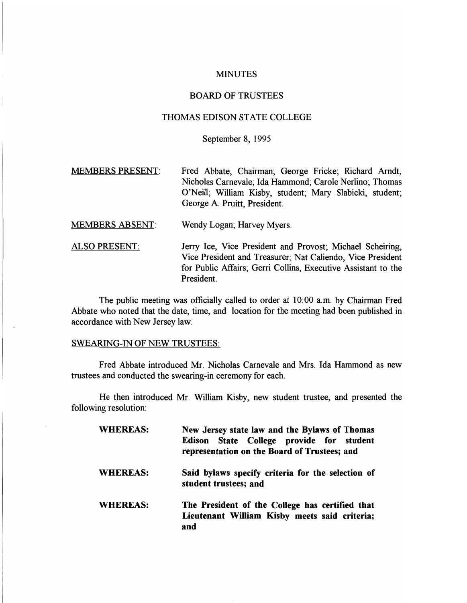#### MINUTES

#### BOARD OF TRUSTEES

## THOMAS EDISON STATE COLLEGE

## September 8, 1995

| <b>MEMBERS PRESENT:</b> | Fred Abbate, Chairman, George Fricke, Richard Arndt,     |
|-------------------------|----------------------------------------------------------|
|                         | Nicholas Carnevale, Ida Hammond, Carole Nerlino, Thomas  |
|                         | O'Neill, William Kisby, student, Mary Slabicki, student, |
|                         | George A. Pruitt, President.                             |
|                         |                                                          |

- MEMBERS ABSENT: Wendy Logan; Harvey Myers.
- ALSO PRESENT: Jerry Ice, Vice President and Provost; Michael Scheiring, Vice President and Treasurer; Nat Caliendo, Vice President for Public Affairs; Gerri Collins, Executive Assistant to the President.

The public meeting was officially called to order at 10:00 a.m. by Chairman Fred Abbate who noted that the date, time, and location for the meeting had been published in accordance with New Jersey law.

#### SWEARING-IN OF NEW TRUSTEES:

Fred Abbate introduced Mr. Nicholas Carnevale and Mrs. Ida Hammond as new trustees and conducted the swearing-in ceremony for each.

He then introduced Mr. William Kisby, new student trustee, and presented the following resolution:

| <b>WHEREAS:</b> | New Jersey state law and the Bylaws of Thomas<br>State College provide for student<br>Edison<br>representation on the Board of Trustees; and |  |  |  |  |
|-----------------|----------------------------------------------------------------------------------------------------------------------------------------------|--|--|--|--|
| <b>WHEREAS:</b> | Said bylaws specify criteria for the selection of<br>student trustees; and                                                                   |  |  |  |  |
| <b>WHEREAS:</b> | The President of the College has certified that<br>Lieutenant William Kisby meets said criteria;<br>and                                      |  |  |  |  |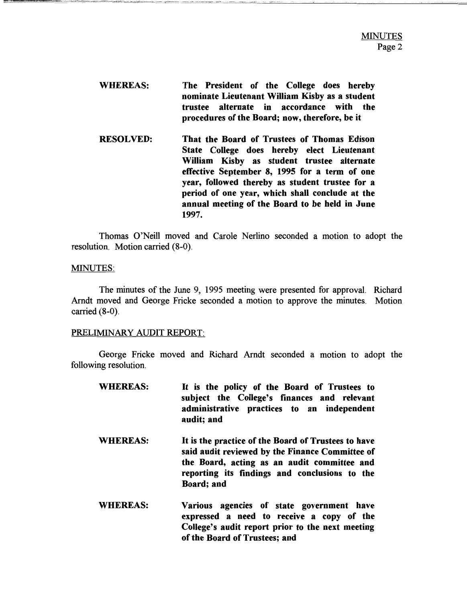WHEREAS: The President of the College does hereby nominate Lieutenant William Kisby as a student trustee alternate in accordance with the procedures of the Board; now, therefore, be it

RESOLVED: That the Board of Trustees of Thomas Edison State College does hereby elect Lieutenant William Kisby as student trustee alternate effective September 8, 1995 for a term of one year, followed thereby as student trustee for a period of one year, which shall conclude at the annual meeting of the Board to be held in June 1997.

Thomas O'Neill moved and Carole Nerlino seconded a motion to adopt the resolution. Motion carried (8-0).

## MINUTES:

The minutes of the June 9, 1995 meeting were presented for approval. Richard Arndt moved and George Fricke seconded a motion to approve the minutes. Motion carried (8-0).

#### PRELIMINARY AUDIT REPORT:

George Fricke moved and Richard Arndt seconded a motion to adopt the following resolution.

- WHEREAS: It is the policy of the Board of Trustees to subject the College's finances and relevant administrative practices to an independent audit; and WHEREAS: It is the practice of the Board of Trustees to have said audit reviewed by the Finance Committee of the Board, acting as an audit committee and reporting its findings and conclusions to the Board; and
- WHEREAS: Various agencies of state government have expressed a need to receive a copy of the College's audit report prior to the next meeting of the Board of Trustees; and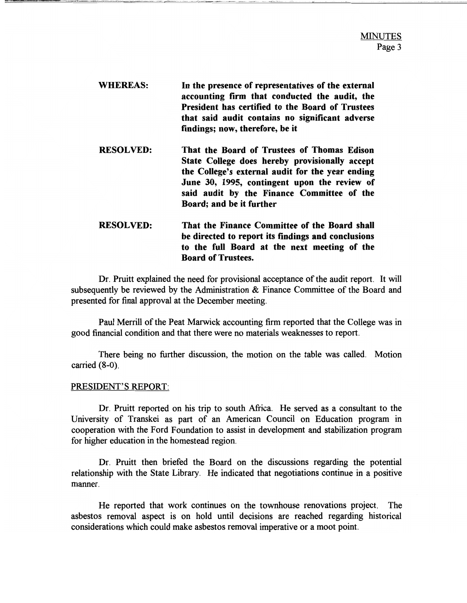| <b>WHEREAS:</b>  | In the presence of representatives of the external<br>accounting firm that conducted the audit, the<br>President has certified to the Board of Trustees<br>that said audit contains no significant adverse<br>findings; now, therefore, be it                               |
|------------------|-----------------------------------------------------------------------------------------------------------------------------------------------------------------------------------------------------------------------------------------------------------------------------|
| <b>RESOLVED:</b> | That the Board of Trustees of Thomas Edison<br>State College does hereby provisionally accept<br>the College's external audit for the year ending<br>June 30, 1995, contingent upon the review of<br>said audit by the Finance Committee of the<br>Board; and be it further |
| RESOLVED·        | That the Finance Committee of the Roard shall                                                                                                                                                                                                                               |

RESOLVED: That the Finance Committee of the Board shall be directed to report its findings and conclusions to the full Board at the next meeting of the Board of Trustees.

Dr. Pruitt explained the need for provisional acceptance of the audit report. It will subsequently be reviewed by the Administration & Finance Committee of the Board and presented for final approval at the December meeting.

Paul Merrill of the Peat Marwick accounting firm reported that the College was in good financial condition and that there were no materials weaknesses to report.

There being no further discussion, the motion on the table was called. Motion carried (8-0).

#### PRESIDENT'S REPORT:

Dr. Pruitt reported on his trip to south Africa. He served as a consultant to the University of Transkei as part of an American Council on Education program in cooperation with the Ford Foundation to assist in development and stabilization program for higher education in the homestead region.

Dr. Pruitt then briefed the Board on the discussions regarding the potential relationship with the State Library. He indicated that negotiations continue in a positive manner.

He reported that work continues on the townhouse renovations project. The asbestos removal aspect is on hold until decisions are reached regarding historical considerations which could make asbestos removal imperative or a moot point.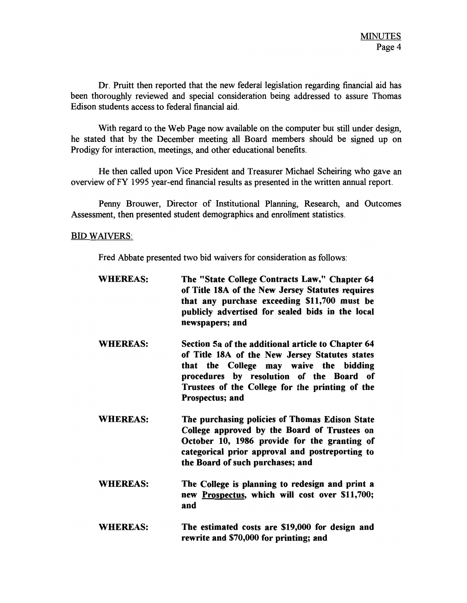Dr. Pruitt then reported that the new federal legislation regarding financial aid has been thoroughly reviewed and special consideration being addressed to assure Thomas Edison students access to federal financial aid.

With regard to the Web Page now available on the computer but still under design, he stated that by the December meeting all Board members should be signed up on Prodigy for interaction, meetings, and other educational benefits.

He then called upon Vice President and Treasurer Michael Scheiring who gave an overview ofFY 1995 year-end financial results as presented in the written annual report.

Penny Brouwer, Director of Institutional Planning, Research, and Outcomes Assessment, then presented student demographics and enrollment statistics.

## **BID WAIVERS:**

Fred Abbate presented two bid waivers for consideration as follows:

| <b>WHEREAS:</b> | The "State College Contracts Law," Chapter 64<br>of Title 18A of the New Jersey Statutes requires<br>that any purchase exceeding \$11,700 must be<br>publicly advertised for sealed bids in the local<br>newspapers; and                                         |
|-----------------|------------------------------------------------------------------------------------------------------------------------------------------------------------------------------------------------------------------------------------------------------------------|
| <b>WHEREAS:</b> | Section 5a of the additional article to Chapter 64<br>of Title 18A of the New Jersey Statutes states<br>that the College may waive the bidding<br>procedures by resolution of the Board of<br>Trustees of the College for the printing of the<br>Prospectus; and |
| <b>WHEREAS:</b> | The purchasing policies of Thomas Edison State<br>College approved by the Board of Trustees on<br>October 10, 1986 provide for the granting of<br>categorical prior approval and postreporting to<br>the Board of such purchases; and                            |
| <b>WHEREAS:</b> | The College is planning to redesign and print a<br>new Prospectus, which will cost over \$11,700;<br>and                                                                                                                                                         |
| <b>WHEREAS:</b> | The estimated costs are \$19,000 for design and<br>rewrite and \$70,000 for printing; and                                                                                                                                                                        |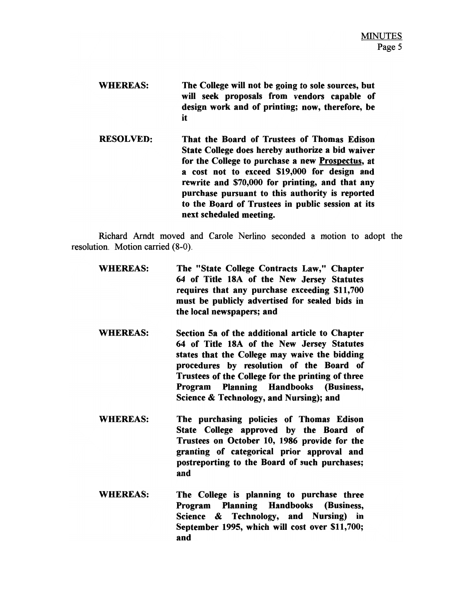WHEREAS: The College will not be going to sole sources, but will seek proposals from vendors capable of design work and of printing; now, therefore, be it

RESOLVED: That the Board of Trustees of Thomas Edison State College does hereby authorize a bid waiver for the College to purchase a new Prospectus, at a cost not to exceed \$19,000 for design and rewrite and \$70,000 for printing, and that any purchase pursuant to this authority is reported to the Board of Trustees in public session at its next scheduled meeting.

Richard Arndt moved and Carole Nerlino seconded a motion to adopt the resolution. Motion carried (8-0).

| <b>WHEREAS:</b> | The "State College Contracts Law," Chapter<br>64 of Title 18A of the New Jersey Statutes<br>requires that any purchase exceeding \$11,700<br>must be publicly advertised for sealed bids in<br>the local newspapers; and                                                                                                            |
|-----------------|-------------------------------------------------------------------------------------------------------------------------------------------------------------------------------------------------------------------------------------------------------------------------------------------------------------------------------------|
| <b>WHEREAS:</b> | Section 5a of the additional article to Chapter<br>64 of Title 18A of the New Jersey Statutes<br>states that the College may waive the bidding<br>procedures by resolution of the Board of<br>Trustees of the College for the printing of three<br>Program Planning Handbooks (Business,<br>Science & Technology, and Nursing); and |
| <b>WHEREAS:</b> | The purchasing policies of Thomas Edison<br>State College approved by the Board of<br>Trustees on October 10, 1986 provide for the<br>granting of categorical prior approval and<br>postreporting to the Board of such purchases;<br>and                                                                                            |

WHEREAS: The College is planning to purchase three Program Planning Handbooks (Business, Science & Technology, and Nursing) in September 1995, which will cost over \$11,700; and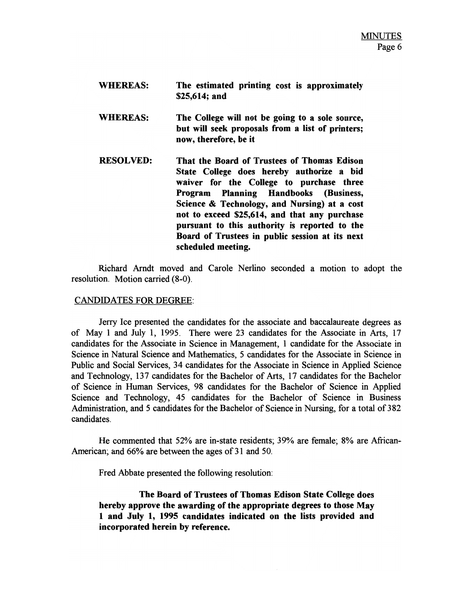| <b>WHEREAS:</b> |               |  | The estimated printing cost is approximately |
|-----------------|---------------|--|----------------------------------------------|
|                 | \$25,614; and |  |                                              |

WHEREAS: The College will not be going to a sole source, but will seek proposals from a list of printers; now, therefore, be it

RESOLVED: That the Board of Trustees of Thomas Edison State College does hereby authorize a bid waiver for the College to purchase three Program Planning Handbooks (Business, Science & Technology, and Nursing) at a cost not to exceed \$25,614, and that any purchase pursuant to this authority is reported to the Board of Trustees in public session at its next scheduled meeting.

Richard Arndt moved and Carole Nerlino seconded a motion to adopt the resolution. Motion carried (8-0).

## CANDIDATES FOR DEGREE:

Jerry Ice presented the candidates for the associate and baccalaureate degrees as of May 1 and July 1, 1995. There were 23 candidates for the Associate in Arts, 17 candidates for the Associate in Science in Management, 1 candidate for the Associate in Science in Natural Science and Mathematics, 5 candidates for the Associate in Science in Public and Social Services, 34 candidates for the Associate in Science in Applied Science and Technology, 137 candidates for the Bachelor of Arts, 17 candidates for the Bachelor of Science in Human Services, 98 candidates for the Bachelor of Science in Applied Science and Technology, 45 candidates for the Bachelor of Science in Business Administration, and 5 candidates for the Bachelor of Science in Nursing, for a total of 382 candidates.

He commented that 52% are in-state residents; 39% are female; 8% are African-American; and 66% are between the ages of 31 and 50.

Fred Abbate presented the following resolution:

The Board of Trustees of Thomas Edison State College does hereby approve the awarding of the appropriate degrees to those May 1 and July 1, 1995 candidates indicated on the lists provided and incorporated herein by reference.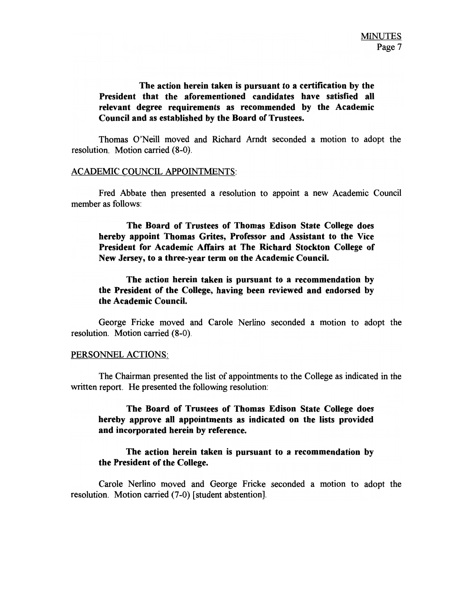# The action herein taken is pursuant to a certification by the President that the aforementioned candidates have satisfied all relevant degree requirements as recommended by the Academic Council and as established by the Board of Trustees.

Thomas O'Neill moved and Richard Arndt seconded a motion to adopt the resolution. Motion carried (8-0).

## ACADEMIC COUNCIL APPOINTMENTS:

Fred Abbate then presented a resolution to appoint a new Academic Council member as follows:

The Board of Trustees of Thomas Edison State College does hereby appoint Thomas Grites, Professor and Assistant to the Vice President for Academic Affairs at The Richard Stockton College of New Jersey, to a three-year term on the Academic Council.

The action herein taken is pursuant to a recommendation by the President of the College, having been reviewed and endorsed by the Academic Council.

George Fricke moved and Carole Nerlino seconded a motion to adopt the resolution. Motion carried (8-0).

#### PERSONNEL ACTIONS:

The Chairman presented the list of appointments to the College as indicated in the written report. He presented the following resolution:

## The Board of Trustees of Thomas Edison State College does hereby approve all appointments as indicated on the lists provided and incorporated herein by reference.

## The action herein taken is pursuant to a recommendation by the President of the College.

Carole Nerlino moved and George Fricke seconded a motion to adopt the resolution. Motion carried (7-0) [student abstention].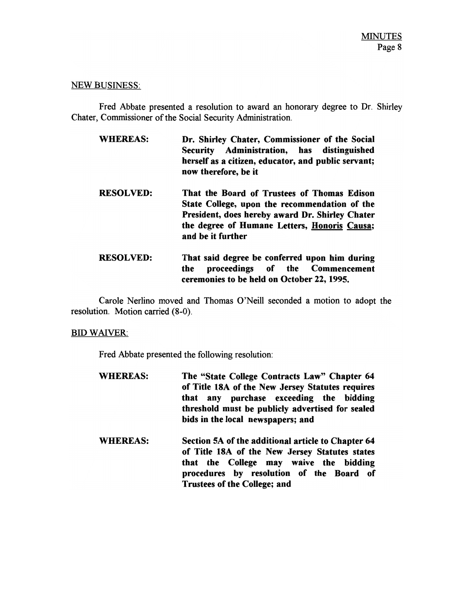# NEW BUSINESS:

Fred Abbate presented a resolution to award an honorary degree to Dr. Shirley Chater, Commissioner of the Social Security Administration.

| <b>WHEREAS:</b>  | Dr. Shirley Chater, Commissioner of the Social<br>Security Administration, has distinguished<br>herself as a citizen, educator, and public servant;<br>now therefore, be it                                          |
|------------------|----------------------------------------------------------------------------------------------------------------------------------------------------------------------------------------------------------------------|
| <b>RESOLVED:</b> | That the Board of Trustees of Thomas Edison<br>State College, upon the recommendation of the<br>President, does hereby award Dr. Shirley Chater<br>the degree of Humane Letters, Honoris Causa;<br>and be it further |
| <b>RESOLVED:</b> | That said degree be conferred upon him during<br>proceedings of the Commencement<br>the<br>ceremonies to be held on October 22, 1995.                                                                                |

Carole Nerlino moved and Thomas O'Neill seconded a motion to adopt the resolution. Motion carried (8-0).

# BID WAIVER:

Fred Abbate presented the following resolution:

| <b>WHEREAS:</b> | The "State College Contracts Law" Chapter 64<br>of Title 18A of the New Jersey Statutes requires<br>that any purchase exceeding the bidding<br>threshold must be publicly advertised for sealed<br>bids in the local newspapers; and |
|-----------------|--------------------------------------------------------------------------------------------------------------------------------------------------------------------------------------------------------------------------------------|
| <b>WHEREAS:</b> | Section 5A of the additional article to Chapter 64<br>of Title 18A of the New Jersey Statutes states<br>that the College may waive the bidding<br>procedures by resolution of the Board of<br>Trustees of the College; and           |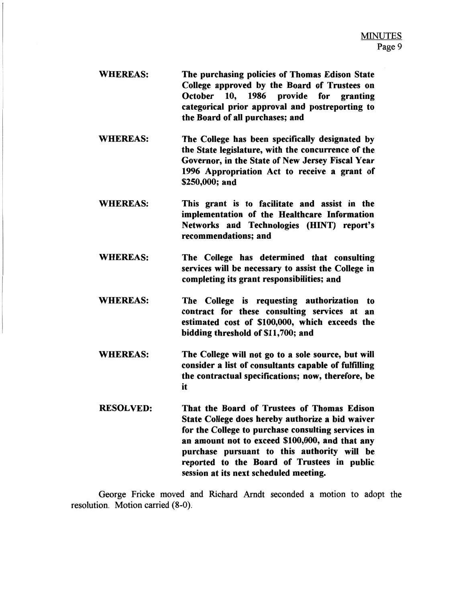- WHEREAS: The purchasing policies of Thomas Edison State College approved by the Board of Trustees on October 10, 1986 provide for granting categorical prior approval and postreporting to the Board of all purchases; and
- WHEREAS: The College has been specifically designated by the State legislature, with the concurrence of the Governor, in the State of New Jersey Fiscal Year 1996 Appropriation Act to receive a grant of \$250,000; and
- WHEREAS: This grant is to facilitate and assist in the implementation of the Healthcare Information Networks and Technologies (HINT) report's recommendations; and
- WHEREAS: The College has determined that consulting services will be necessary to assist the College in completing its grant responsibilities; and
- WHEREAS: The College is requesting authorization to contract for these consulting services at an estimated cost of \$100,000, which exceeds the bidding threshold of \$11,700; and
- WHEREAS: The College will not go to a sole source, but will consider a list of consultants capable of fulfilling the contractual specifications; now, therefore, be it
- RESOLVED: That the Board of Trustees of Thomas Edison State College does hereby authorize a bid waiver for the College to purchase consulting services in an amount not to exceed \$100,000, and that any purchase pursuant to this authority will be reported to the Board of Trustees in public session at its next scheduled meeting.

George Fricke moved and Richard Arndt seconded a motion to adopt the resolution. Motion carried (8-0).